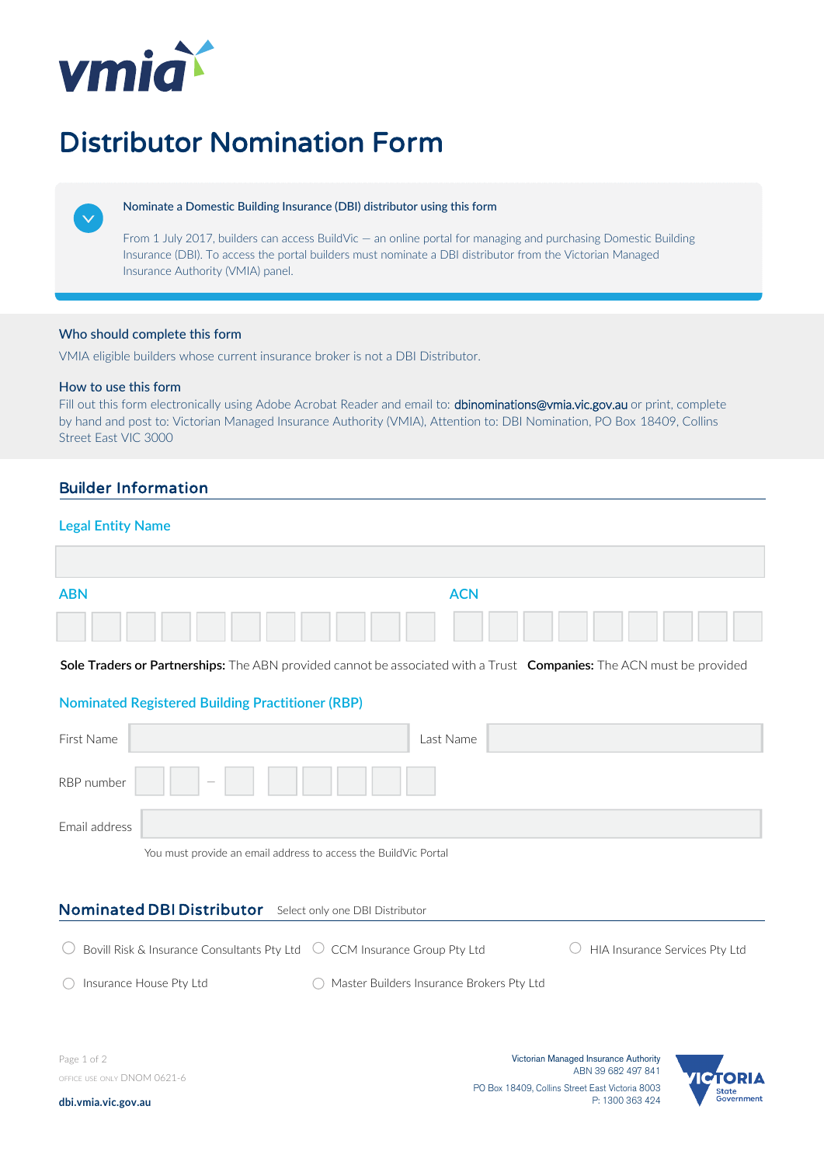

# Distributor Nomination Form



#### Nominate a Domestic Building Insurance (DBI) distributor using this form

From 1 July 2017, builders can access BuildVic — an online portal for managing and purchasing Domestic Building Insurance (DBI). To access the portal builders must nominate a DBI distributor from the Victorian Managed Insurance Authority (VMIA) panel.

## Who should complete this form

VMIA eligible builders whose current insurance broker is not a DBI Distributor.

### How to use this form

Fill out this form electronically using Adobe Acrobat Reader and email to: **[dbinominations@vmia.vic.gov.au](mailto:ajgnominations@vmia.vic.gov.au?subject=Completed%20distributor%20nomination%20form%20-%20Arthur%20J.%20Gallagher%20transition)** or print, complete by hand and post to: Victorian Managed Insurance Authority (VMIA), Attention to: DBI Nomination, PO Box 18409, Collins Street East VIC 3000

# Builder Information

## **Legal Entity Name**

| <b>ABN</b> | <b>ACN</b> |  |
|------------|------------|--|
|            |            |  |

**Sole Traders or Partnerships:** The ABN provided cannot be associated with a Trust **Companies:** The ACN must be provided

# **Nominated Registered Building Practitioner (RBP)**

| First Name    |          | Last Name |  |
|---------------|----------|-----------|--|
| RBP number    | $\equiv$ |           |  |
| Email address |          |           |  |

You must provide an email address to access the BuildVic Portal

# Nominated DBI Distributor Select only one DBI Distributor

| Bovill Risk & Insurance Consultants Pty Ltd $\hspace{.1cm} \circlearrowright$ CCM Insurance Group Pty Ltd |                                             | $\circ$ HIA Insurance Services Pty Ltd |
|-----------------------------------------------------------------------------------------------------------|---------------------------------------------|----------------------------------------|
| Insurance House Pty Ltd                                                                                   | ◯ Master Builders Insurance Brokers Pty Ltd |                                        |

Page 1 of 2 OFFICE USE ONLY DNOM 0621-6

Victorian Managed Insurance Authority ABN 39 682 497 841 PO Box 18409, Collins Street East Victoria 8003 P: 1300 363 424



**[dbi.vmia.vic.gov.au](https://www.dbi.vmia.vic.gov.au/)**